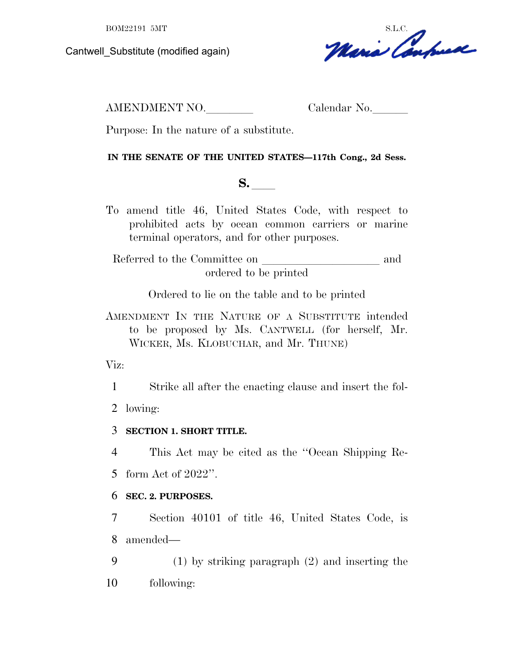Cantwell\_Substitute (modified again)

BOM22191 5MT<br>Substitute (modified again)<br>Meni Confuse

AMENDMENT NO. Calendar No.

Purpose: In the nature of a substitute.

## **IN THE SENATE OF THE UNITED STATES—117th Cong., 2d Sess.**

**S.**  $\blacksquare$ 

To amend title 46, United States Code, with respect to prohibited acts by ocean common carriers or marine terminal operators, and for other purposes.

Referred to the Committee on and ordered to be printed

Ordered to lie on the table and to be printed

AMENDMENT IN THE NATURE OF A SUBSTITUTE intended to be proposed by Ms. CANTWELL (for herself, Mr. WICKER, Ms. KLOBUCHAR, and Mr. THUNE)

Viz:

1 Strike all after the enacting clause and insert the fol-

2 lowing:

3 **SECTION 1. SHORT TITLE.**

4 This Act may be cited as the ''Ocean Shipping Re-

5 form Act of 2022''.

# 6 **SEC. 2. PURPOSES.**

7 Section 40101 of title 46, United States Code, is 8 amended—

9 (1) by striking paragraph (2) and inserting the 10 following: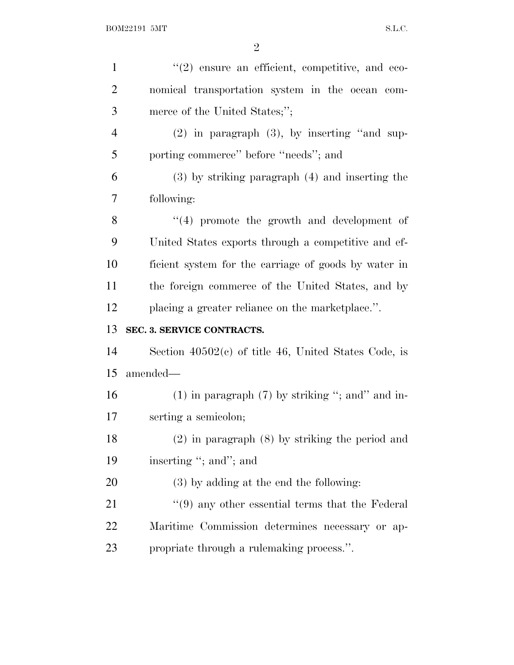| $\mathbf{1}$   | $(2)$ ensure an efficient, competitive, and eco-                |
|----------------|-----------------------------------------------------------------|
| $\overline{2}$ | nomical transportation system in the ocean com-                 |
| 3              | merce of the United States;";                                   |
| $\overline{4}$ | $(2)$ in paragraph $(3)$ , by inserting "and sup-               |
| 5              | porting commerce" before "needs"; and                           |
| 6              | $(3)$ by striking paragraph $(4)$ and inserting the             |
| 7              | following:                                                      |
| 8              | $(4)$ promote the growth and development of                     |
| 9              | United States exports through a competitive and ef-             |
| 10             | ficient system for the carriage of goods by water in            |
| 11             | the foreign commerce of the United States, and by               |
| 12             | placing a greater reliance on the marketplace.".                |
| 13             | SEC. 3. SERVICE CONTRACTS.                                      |
| 14             | Section $40502(c)$ of title 46, United States Code, is          |
| 15             | amended—                                                        |
| 16             | $(1)$ in paragraph $(7)$ by striking "; and in-                 |
| 17             | serting a semicolon;                                            |
| 18             | $(2)$ in paragraph $(8)$ by striking the period and             |
| 19             | inserting "; and"; and                                          |
| 20             | $(3)$ by adding at the end the following:                       |
| 21             | $\cdot\cdot\cdot(9)$ any other essential terms that the Federal |
|                |                                                                 |
| 22             | Maritime Commission determines necessary or ap-                 |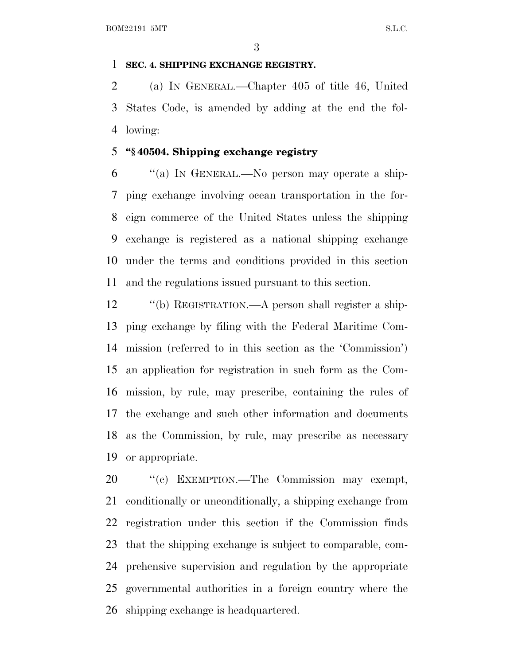### **SEC. 4. SHIPPING EXCHANGE REGISTRY.**

 (a) I<sup>N</sup> GENERAL.—Chapter 405 of title 46, United States Code, is amended by adding at the end the fol-lowing:

## **''§ 40504. Shipping exchange registry**

 ''(a) I<sup>N</sup> GENERAL.—No person may operate a ship- ping exchange involving ocean transportation in the for- eign commerce of the United States unless the shipping exchange is registered as a national shipping exchange under the terms and conditions provided in this section and the regulations issued pursuant to this section.

 ''(b) REGISTRATION.—A person shall register a ship- ping exchange by filing with the Federal Maritime Com- mission (referred to in this section as the 'Commission') an application for registration in such form as the Com- mission, by rule, may prescribe, containing the rules of the exchange and such other information and documents as the Commission, by rule, may prescribe as necessary or appropriate.

20 "(c) EXEMPTION.—The Commission may exempt, conditionally or unconditionally, a shipping exchange from registration under this section if the Commission finds that the shipping exchange is subject to comparable, com- prehensive supervision and regulation by the appropriate governmental authorities in a foreign country where the shipping exchange is headquartered.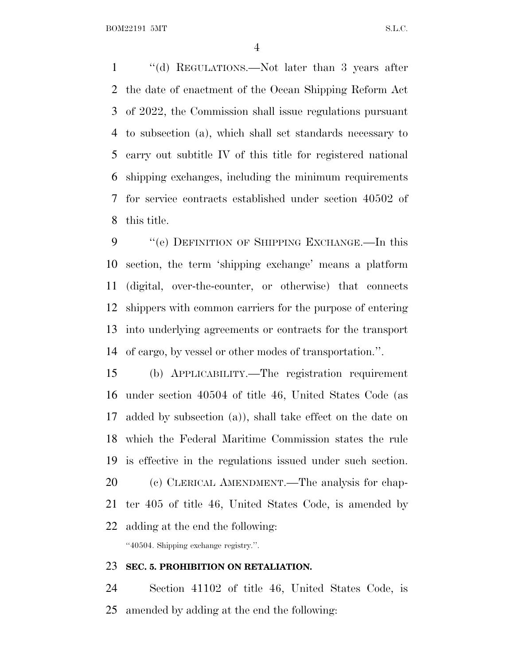BOM22191 5MT S.L.C.

 ''(d) REGULATIONS.—Not later than 3 years after the date of enactment of the Ocean Shipping Reform Act of 2022, the Commission shall issue regulations pursuant to subsection (a), which shall set standards necessary to carry out subtitle IV of this title for registered national shipping exchanges, including the minimum requirements for service contracts established under section 40502 of this title.

9 "(e) DEFINITION OF SHIPPING EXCHANGE.—In this section, the term 'shipping exchange' means a platform (digital, over-the-counter, or otherwise) that connects shippers with common carriers for the purpose of entering into underlying agreements or contracts for the transport of cargo, by vessel or other modes of transportation.''.

 (b) APPLICABILITY.—The registration requirement under section 40504 of title 46, United States Code (as added by subsection (a)), shall take effect on the date on which the Federal Maritime Commission states the rule is effective in the regulations issued under such section. (c) CLERICAL AMENDMENT.—The analysis for chap- ter 405 of title 46, United States Code, is amended by adding at the end the following:

''40504. Shipping exchange registry.''.

#### **SEC. 5. PROHIBITION ON RETALIATION.**

 Section 41102 of title 46, United States Code, is amended by adding at the end the following: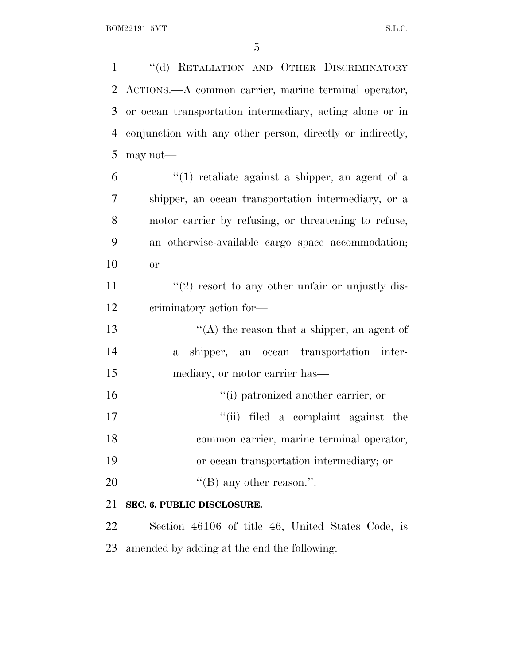''(d) RETALIATION AND OTHER DISCRIMINATORY ACTIONS.—A common carrier, marine terminal operator, or ocean transportation intermediary, acting alone or in conjunction with any other person, directly or indirectly, may not—

 ''(1) retaliate against a shipper, an agent of a shipper, an ocean transportation intermediary, or a motor carrier by refusing, or threatening to refuse, an otherwise-available cargo space accommodation; or

11  $\frac{u(2)}{2}$  resort to any other unfair or unjustly dis-criminatory action for—

13  $\langle (A)$  the reason that a shipper, an agent of a shipper, an ocean transportation inter-mediary, or motor carrier has—

 $\frac{1}{10}$  patronized another carrier; or ''(ii) filed a complaint against the common carrier, marine terminal operator, or ocean transportation intermediary; or  $((B)$  any other reason.".

### **SEC. 6. PUBLIC DISCLOSURE.**

 Section 46106 of title 46, United States Code, is amended by adding at the end the following: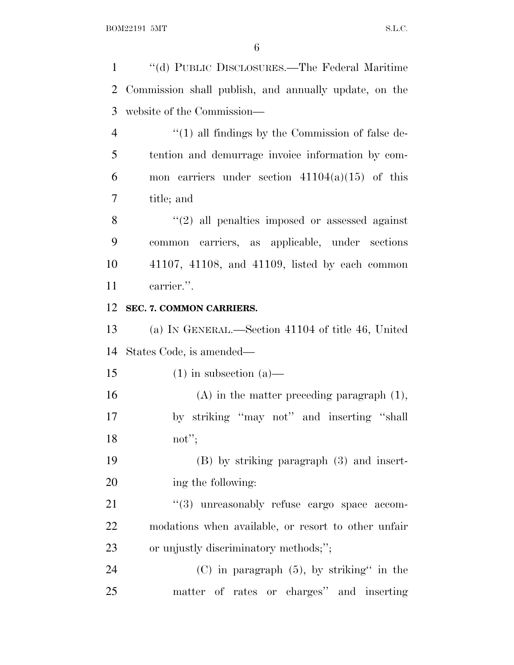''(d) PUBLIC DISCLOSURES.—The Federal Maritime Commission shall publish, and annually update, on the website of the Commission— 4 "(1) all findings by the Commission of false de- tention and demurrage invoice information by com-6 mon carriers under section  $41104(a)(15)$  of this title; and ''(2) all penalties imposed or assessed against common carriers, as applicable, under sections 41107, 41108, and 41109, listed by each common carrier.''. **SEC. 7. COMMON CARRIERS.** (a) I<sup>N</sup> GENERAL.—Section 41104 of title 46, United States Code, is amended— 15 (1) in subsection (a)— (A) in the matter preceding paragraph (1), by striking ''may not'' and inserting ''shall not''; (B) by striking paragraph (3) and insert- ing the following:  $(3)$  unreasonably refuse cargo space accom- modations when available, or resort to other unfair or unjustly discriminatory methods;''; (C) in paragraph (5), by striking'' in the matter of rates or charges'' and inserting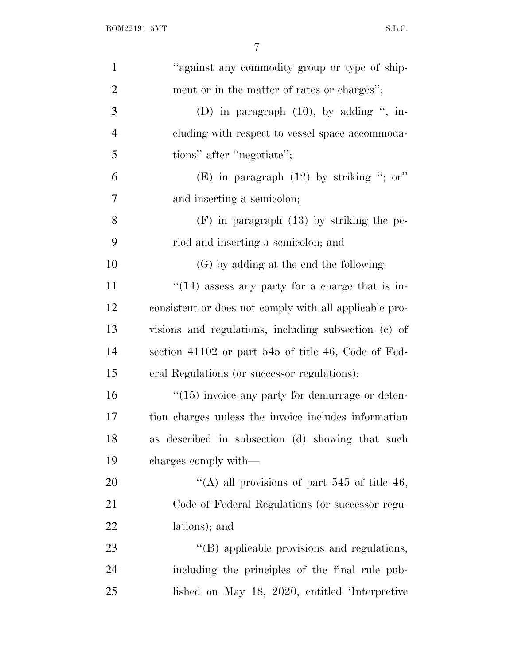| $\mathbf{1}$   | "against any commodity group or type of ship-          |
|----------------|--------------------------------------------------------|
| $\overline{2}$ | ment or in the matter of rates or charges";            |
| 3              | (D) in paragraph $(10)$ , by adding ", in-             |
| $\overline{4}$ | cluding with respect to vessel space accommoda-        |
| 5              | tions" after "negotiate";                              |
| 6              | (E) in paragraph $(12)$ by striking "; or"             |
| 7              | and inserting a semicolon;                             |
| 8              | $(F)$ in paragraph $(13)$ by striking the pe-          |
| 9              | riod and inserting a semicolon; and                    |
| 10             | (G) by adding at the end the following:                |
| 11             | $\cdot$ (14) assess any party for a charge that is in- |
| 12             | consistent or does not comply with all applicable pro- |
| 13             | visions and regulations, including subsection (c) of   |
| 14             | section 41102 or part 545 of title 46, Code of Fed-    |
| 15             | eral Regulations (or successor regulations);           |
| 16             | $\lq(15)$ invoice any party for demurrage or deten-    |
| 17             | tion charges unless the invoice includes information   |
| 18             | as described in subsection (d) showing that such       |
| 19             | charges comply with—                                   |
| 20             | "(A) all provisions of part 545 of title 46,           |
| 21             | Code of Federal Regulations (or successor regu-        |
| 22             | lations); and                                          |
| 23             | "(B) applicable provisions and regulations,            |
| 24             | including the principles of the final rule pub-        |
| 25             | lished on May 18, 2020, entitled 'Interpretive         |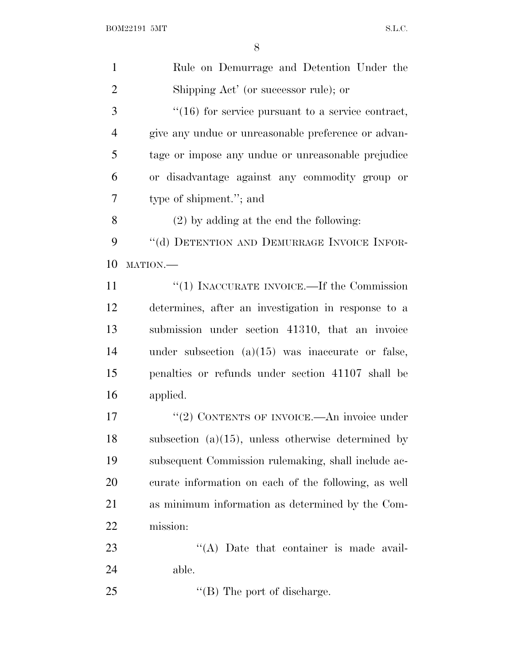| $\mathbf{1}$   | Rule on Demurrage and Detention Under the             |
|----------------|-------------------------------------------------------|
| $\overline{2}$ | Shipping Act' (or successor rule); or                 |
| 3              | $"(16)$ for service pursuant to a service contract,   |
| 4              | give any undue or unreasonable preference or advan-   |
| 5              | tage or impose any undue or unreasonable prejudice    |
| 6              | or disadvantage against any commodity group or        |
| 7              | type of shipment."; and                               |
| 8              | $(2)$ by adding at the end the following:             |
| 9              | "(d) DETENTION AND DEMURRAGE INVOICE INFOR-           |
| 10             | MATION.                                               |
| 11             | $``(1)$ INACCURATE INVOICE.—If the Commission         |
| 12             | determines, after an investigation in response to a   |
| 13             | submission under section 41310, that an invoice       |
| 14             | under subsection $(a)(15)$ was inaccurate or false,   |
| 15             | penalties or refunds under section 41107 shall be     |
| 16             | applied.                                              |
| 17             | "(2) CONTENTS OF INVOICE.—An invoice under            |
| 18             | subsection $(a)(15)$ , unless otherwise determined by |
| 19             | subsequent Commission rulemaking, shall include ac-   |
| 20             | curate information on each of the following, as well  |
| 21             | as minimum information as determined by the Com-      |
| 22             | mission:                                              |
| 23             | $\lq\lq$ . Date that container is made avail-         |
| 24             | able.                                                 |
| 25             | $\lq\lq$ (B) The port of discharge.                   |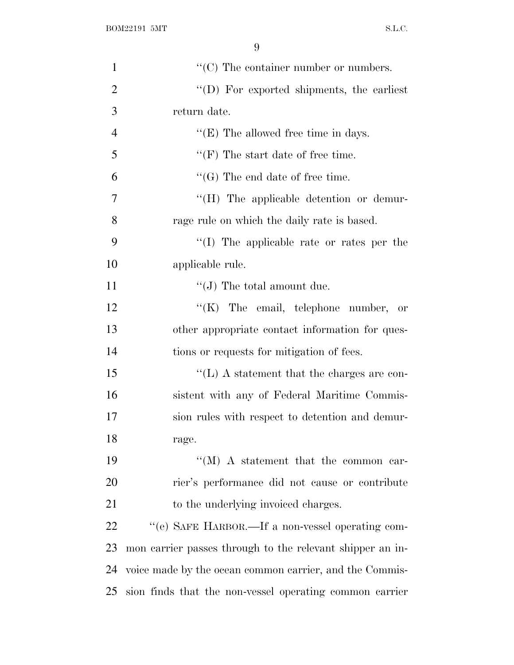| $\mathbf{1}$   | $\lq\lq$ <sup>c</sup> (C) The container number or numbers. |
|----------------|------------------------------------------------------------|
| $\overline{2}$ | "(D) For exported shipments, the earliest                  |
| 3              | return date.                                               |
| $\overline{4}$ | $\lq\lq$ (E) The allowed free time in days.                |
| 5              | $\lq\lq(F)$ The start date of free time.                   |
| 6              | $\lq\lq(G)$ The end date of free time.                     |
| 7              | "(H) The applicable detention or demur-                    |
| 8              | rage rule on which the daily rate is based.                |
| 9              | $\lq\lq$ (I) The applicable rate or rates per the          |
| 10             | applicable rule.                                           |
| 11             | $``(J)$ The total amount due.                              |
| 12             | "(K) The email, telephone number, or                       |
| 13             | other appropriate contact information for ques-            |
| 14             | tions or requests for mitigation of fees.                  |
| 15             | $\lq\lq$ . A statement that the charges are con-           |
| 16             | sistent with any of Federal Maritime Commis-               |
| 17             | sion rules with respect to detention and demur-            |
| 18             | rage.                                                      |
| 19             | $\lq\lq (M)$ A statement that the common car-              |
| 20             | rier's performance did not cause or contribute             |
| 21             | to the underlying invoiced charges.                        |
| 22             | "(e) SAFE HARBOR.—If a non-vessel operating com-           |
| 23             | mon carrier passes through to the relevant shipper an in-  |
| 24             | voice made by the ocean common carrier, and the Commis-    |
| 25             | sion finds that the non-vessel operating common carrier    |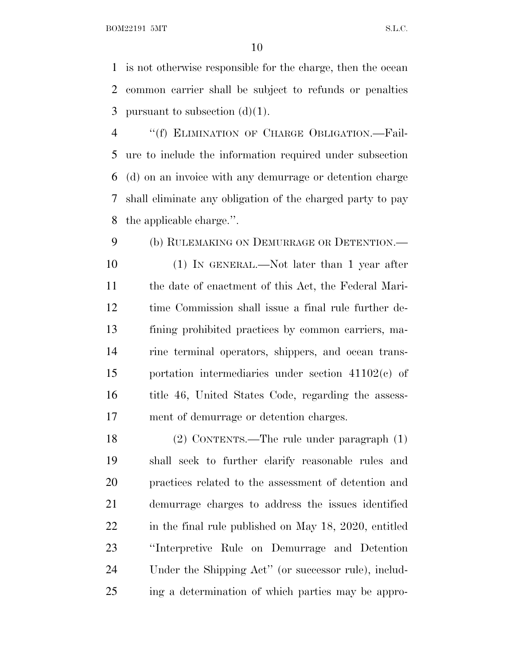BOM22191 5MT S.L.C.

 is not otherwise responsible for the charge, then the ocean common carrier shall be subject to refunds or penalties 3 pursuant to subsection  $(d)(1)$ .

 ''(f) ELIMINATION OF CHARGE OBLIGATION.—Fail- ure to include the information required under subsection (d) on an invoice with any demurrage or detention charge shall eliminate any obligation of the charged party to pay the applicable charge.''.

9 (b) RULEMAKING ON DEMURRAGE OR DETENTION.— (1) IN GENERAL.—Not later than 1 year after the date of enactment of this Act, the Federal Mari- time Commission shall issue a final rule further de- fining prohibited practices by common carriers, ma- rine terminal operators, shippers, and ocean trans- portation intermediaries under section 41102(c) of title 46, United States Code, regarding the assess-ment of demurrage or detention charges.

 (2) CONTENTS.—The rule under paragraph (1) shall seek to further clarify reasonable rules and practices related to the assessment of detention and demurrage charges to address the issues identified 22 in the final rule published on May 18, 2020, entitled ''Interpretive Rule on Demurrage and Detention Under the Shipping Act'' (or successor rule), includ-ing a determination of which parties may be appro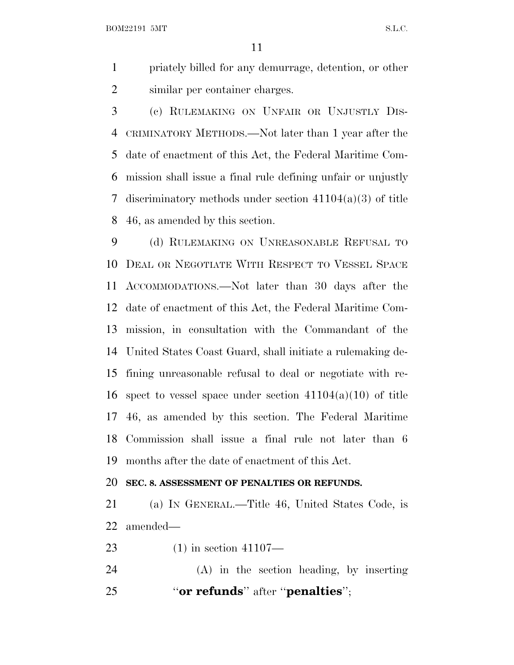BOM22191 5MT S.L.C.

 priately billed for any demurrage, detention, or other similar per container charges.

 (c) RULEMAKING ON UNFAIR OR UNJUSTLY DIS- CRIMINATORY METHODS.—Not later than 1 year after the date of enactment of this Act, the Federal Maritime Com- mission shall issue a final rule defining unfair or unjustly discriminatory methods under section 41104(a)(3) of title 46, as amended by this section.

 (d) RULEMAKING ON UNREASONABLE REFUSAL TO DEAL OR NEGOTIATE WITH RESPECT TO VESSEL SPACE ACCOMMODATIONS.—Not later than 30 days after the date of enactment of this Act, the Federal Maritime Com- mission, in consultation with the Commandant of the United States Coast Guard, shall initiate a rulemaking de- fining unreasonable refusal to deal or negotiate with re-16 spect to vessel space under section  $41104(a)(10)$  of title 46, as amended by this section. The Federal Maritime Commission shall issue a final rule not later than 6 months after the date of enactment of this Act.

### **SEC. 8. ASSESSMENT OF PENALTIES OR REFUNDS.**

 (a) I<sup>N</sup> GENERAL.—Title 46, United States Code, is amended—

(1) in section 41107—

 (A) in the section heading, by inserting ''**or refunds**'' after ''**penalties**'';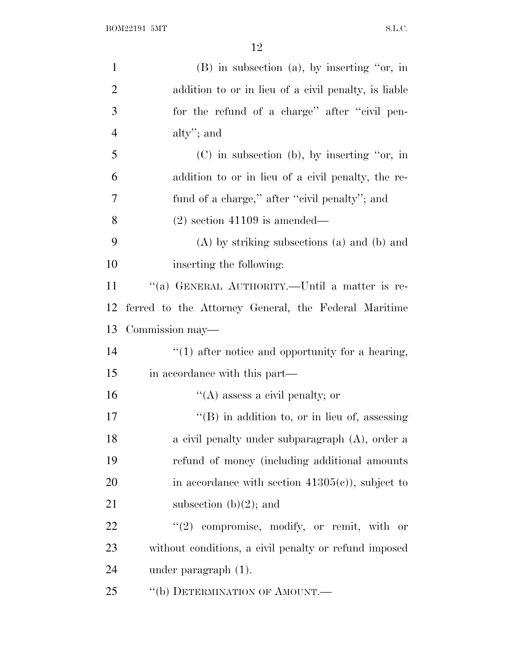| $\mathbf{1}$   | (B) in subsection (a), by inserting "or, in           |
|----------------|-------------------------------------------------------|
| $\overline{2}$ | addition to or in lieu of a civil penalty, is liable  |
| 3              | for the refund of a charge" after "civil pen-         |
| $\overline{4}$ | alty"; and                                            |
| 5              | $(C)$ in subsection (b), by inserting "or, in         |
| 6              | addition to or in lieu of a civil penalty, the re-    |
| 7              | fund of a charge," after "civil penalty"; and         |
| 8              | $(2)$ section 41109 is amended—                       |
| 9              | $(A)$ by striking subsections $(a)$ and $(b)$ and     |
| 10             | inserting the following:                              |
| 11             | "(a) GENERAL AUTHORITY.—Until a matter is re-         |
| 12             | ferred to the Attorney General, the Federal Maritime  |
| 13             | Commission may—                                       |
| 14             | $"(1)$ after notice and opportunity for a hearing,    |
| 15             | in accordance with this part—                         |
| 16             | $\cdot$ (A) assess a civil penalty; or                |
| 17             | $\lq\lq$ (B) in addition to, or in lieu of, assessing |
| 18             | a civil penalty under subparagraph (A), order a       |
| 19             | refund of money (including additional amounts         |
| 20             | in accordance with section $41305(e)$ , subject to    |
| 21             | subsection $(b)(2)$ ; and                             |
| 22             | "(2) compromise, modify, or remit, with or            |
| 23             | without conditions, a civil penalty or refund imposed |
| 24             | under paragraph $(1)$ .                               |
| 25             | "(b) DETERMINATION OF AMOUNT.—                        |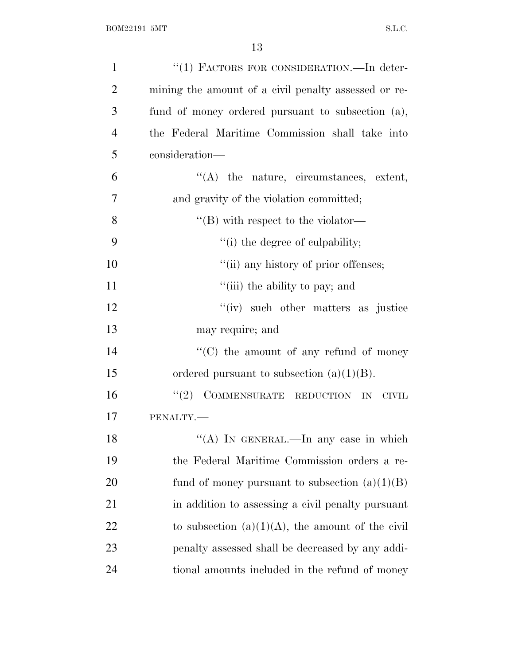| $\mathbf{1}$   | "(1) FACTORS FOR CONSIDERATION. In deter-            |
|----------------|------------------------------------------------------|
| $\overline{2}$ | mining the amount of a civil penalty assessed or re- |
| 3              | fund of money ordered pursuant to subsection (a),    |
| $\overline{4}$ | the Federal Maritime Commission shall take into      |
| 5              | consideration-                                       |
| 6              | $\lq\lq$ the nature, circumstances, extent,          |
| 7              | and gravity of the violation committed;              |
| 8              | $\lq\lq$ with respect to the violator—               |
| 9              | "(i) the degree of culpability;                      |
| 10             | "(ii) any history of prior offenses;                 |
| 11             | "(iii) the ability to pay; and                       |
| 12             | "(iv) such other matters as justice                  |
| 13             | may require; and                                     |
| 14             | $\lq\lq$ (C) the amount of any refund of money       |
| 15             | ordered pursuant to subsection $(a)(1)(B)$ .         |
| 16             | $"(2)$ COMMENSURATE REDUCTION IN<br><b>CIVIL</b>     |
| 17             | PENALTY.-                                            |
| 18             | "(A) IN GENERAL.—In any case in which                |
| 19             | the Federal Maritime Commission orders a re-         |
| 20             | fund of money pursuant to subsection $(a)(1)(B)$     |
| 21             | in addition to assessing a civil penalty pursuant    |
| 22             | to subsection $(a)(1)(A)$ , the amount of the civil  |
| 23             | penalty assessed shall be decreased by any addi-     |
| 24             | tional amounts included in the refund of money       |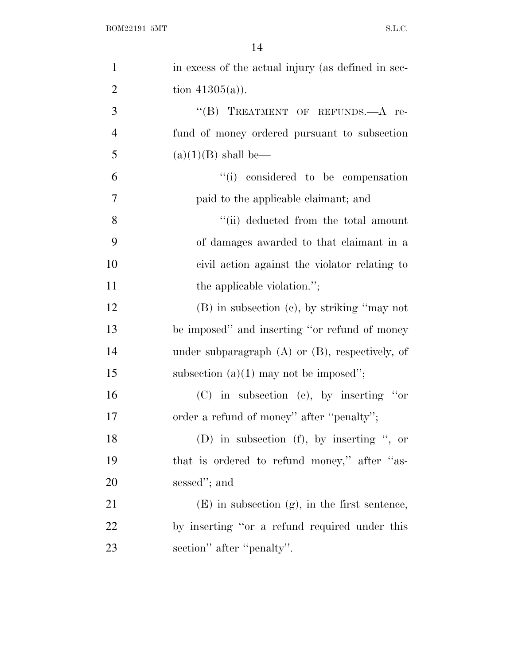| $\mathbf{1}$   | in excess of the actual injury (as defined in sec-   |
|----------------|------------------------------------------------------|
| $\overline{2}$ | tion $41305(a)$ ).                                   |
| 3              | "(B) TREATMENT OF REFUNDS.—A re-                     |
| $\overline{4}$ | fund of money ordered pursuant to subsection         |
| 5              | $(a)(1)(B)$ shall be—                                |
| 6              | "(i) considered to be compensation                   |
| 7              | paid to the applicable claimant; and                 |
| 8              | "(ii) deducted from the total amount                 |
| 9              | of damages awarded to that claimant in a             |
| 10             | civil action against the violator relating to        |
| 11             | the applicable violation.";                          |
| 12             | $(B)$ in subsection $(c)$ , by striking "may not     |
| 13             | be imposed" and inserting "or refund of money        |
| 14             | under subparagraph $(A)$ or $(B)$ , respectively, of |
| 15             | subsection $(a)(1)$ may not be imposed";             |
| 16             | $(C)$ in subsection (e), by inserting "or            |
| 17             | order a refund of money" after "penalty";            |
| 18             | (D) in subsection (f), by inserting ", or            |
| 19             | that is ordered to refund money," after "as-         |
| 20             | sessed"; and                                         |
| 21             | $(E)$ in subsection $(g)$ , in the first sentence,   |
| 22             | by inserting "or a refund required under this        |
| 23             | section" after "penalty".                            |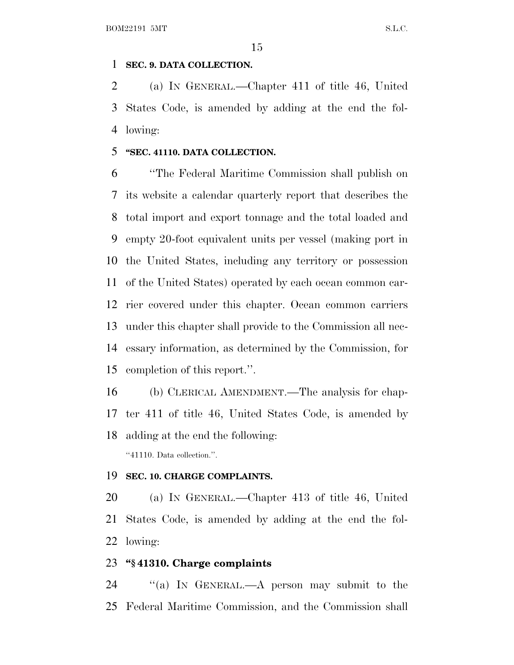#### **SEC. 9. DATA COLLECTION.**

 (a) I<sup>N</sup> GENERAL.—Chapter 411 of title 46, United States Code, is amended by adding at the end the fol-lowing:

## **''SEC. 41110. DATA COLLECTION.**

 ''The Federal Maritime Commission shall publish on its website a calendar quarterly report that describes the total import and export tonnage and the total loaded and empty 20-foot equivalent units per vessel (making port in the United States, including any territory or possession of the United States) operated by each ocean common car- rier covered under this chapter. Ocean common carriers under this chapter shall provide to the Commission all nec- essary information, as determined by the Commission, for completion of this report.''.

 (b) CLERICAL AMENDMENT.—The analysis for chap- ter 411 of title 46, United States Code, is amended by adding at the end the following:

''41110. Data collection.''.

### **SEC. 10. CHARGE COMPLAINTS.**

 (a) I<sup>N</sup> GENERAL.—Chapter 413 of title 46, United States Code, is amended by adding at the end the fol-lowing:

## **''§ 41310. Charge complaints**

 ''(a) I<sup>N</sup> GENERAL.—A person may submit to the Federal Maritime Commission, and the Commission shall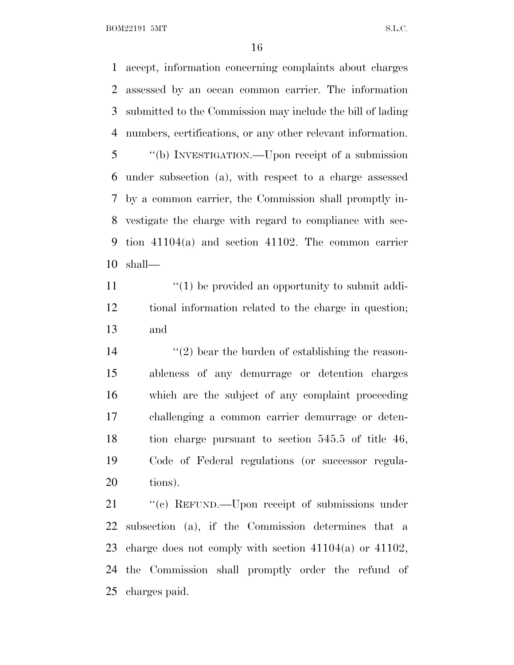BOM22191 5MT S.L.C.

 accept, information concerning complaints about charges assessed by an ocean common carrier. The information submitted to the Commission may include the bill of lading numbers, certifications, or any other relevant information. ''(b) INVESTIGATION.—Upon receipt of a submission under subsection (a), with respect to a charge assessed by a common carrier, the Commission shall promptly in- vestigate the charge with regard to compliance with sec- tion 41104(a) and section 41102. The common carrier shall—

11  $\langle (1)$  be provided an opportunity to submit addi- tional information related to the charge in question; and

 $\frac{1}{2}$  bear the burden of establishing the reason- ableness of any demurrage or detention charges which are the subject of any complaint proceeding challenging a common carrier demurrage or deten- tion charge pursuant to section 545.5 of title 46, Code of Federal regulations (or successor regula-tions).

21 "(c) REFUND.—Upon receipt of submissions under subsection (a), if the Commission determines that a charge does not comply with section 41104(a) or 41102, the Commission shall promptly order the refund of charges paid.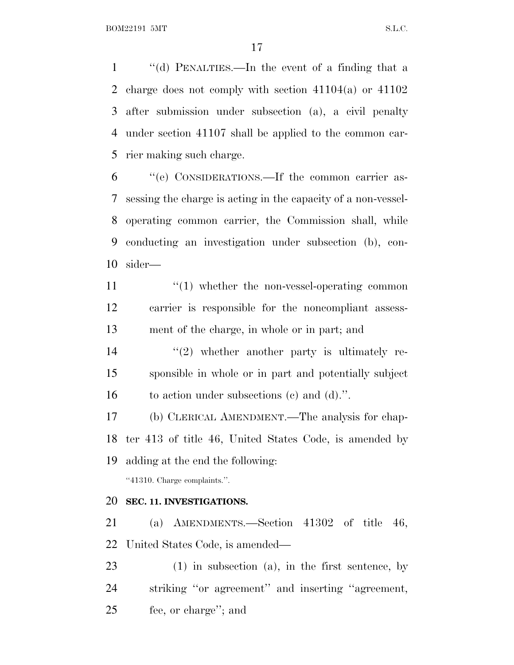''(d) PENALTIES.—In the event of a finding that a charge does not comply with section 41104(a) or 41102 after submission under subsection (a), a civil penalty under section 41107 shall be applied to the common car-rier making such charge.

 ''(e) CONSIDERATIONS.—If the common carrier as- sessing the charge is acting in the capacity of a non-vessel- operating common carrier, the Commission shall, while conducting an investigation under subsection (b), con-sider—

11  $\frac{1}{1}$   $\frac{1}{1}$  whether the non-vessel-operating common carrier is responsible for the noncompliant assess-ment of the charge, in whole or in part; and

14  $\frac{1}{2}$  whether another party is ultimately re- sponsible in whole or in part and potentially subject to action under subsections (c) and (d).''.

 (b) CLERICAL AMENDMENT.—The analysis for chap- ter 413 of title 46, United States Code, is amended by adding at the end the following:

''41310. Charge complaints.''.

#### **SEC. 11. INVESTIGATIONS.**

 (a) AMENDMENTS.—Section 41302 of title 46, United States Code, is amended—

 (1) in subsection (a), in the first sentence, by striking ''or agreement'' and inserting ''agreement, fee, or charge''; and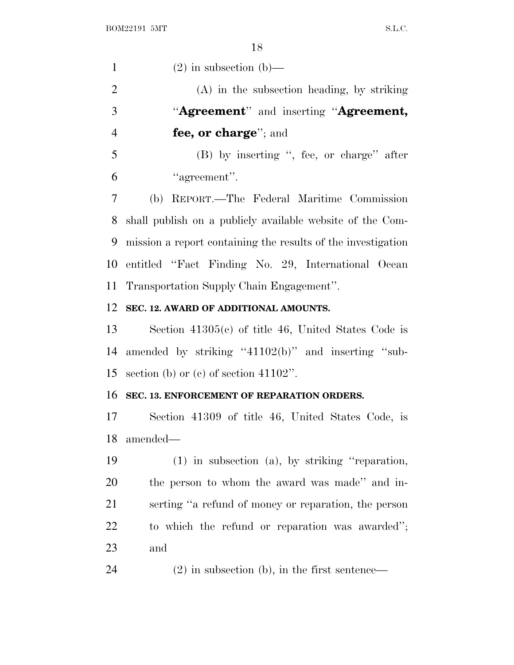1 (2) in subsection (b)— (A) in the subsection heading, by striking ''**Agreement**'' and inserting ''**Agreement, fee, or charge**''; and (B) by inserting '', fee, or charge'' after ''agreement''. (b) REPORT.—The Federal Maritime Commission shall publish on a publicly available website of the Com- mission a report containing the results of the investigation entitled ''Fact Finding No. 29, International Ocean Transportation Supply Chain Engagement''. **SEC. 12. AWARD OF ADDITIONAL AMOUNTS.** Section 41305(c) of title 46, United States Code is amended by striking ''41102(b)'' and inserting ''sub-section (b) or (c) of section 41102''.

### **SEC. 13. ENFORCEMENT OF REPARATION ORDERS.**

 Section 41309 of title 46, United States Code, is amended—

 (1) in subsection (a), by striking ''reparation, the person to whom the award was made'' and in- serting ''a refund of money or reparation, the person to which the refund or reparation was awarded''; and

(2) in subsection (b), in the first sentence—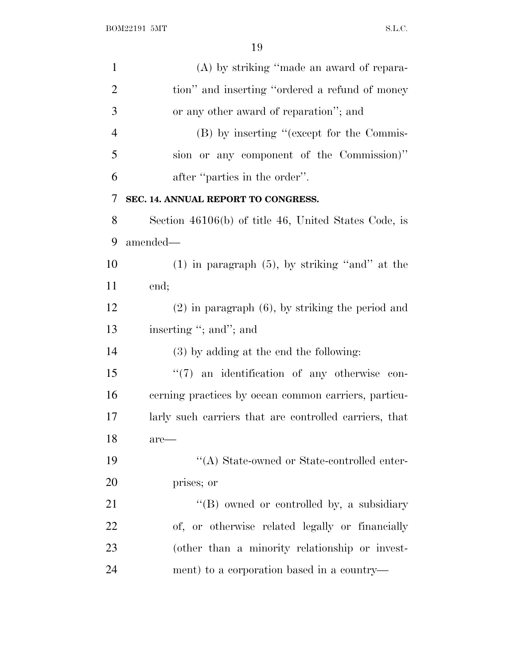| $\mathbf{1}$   | (A) by striking "made an award of repara-              |
|----------------|--------------------------------------------------------|
| $\overline{2}$ | tion" and inserting "ordered a refund of money         |
| 3              | or any other award of reparation"; and                 |
| $\overline{4}$ | (B) by inserting "(except for the Commis-              |
| 5              | sion or any component of the Commission)"              |
| 6              | after "parties in the order".                          |
| 7              | SEC. 14. ANNUAL REPORT TO CONGRESS.                    |
| 8              | Section 46106(b) of title 46, United States Code, is   |
| 9              | amended—                                               |
| 10             | $(1)$ in paragraph $(5)$ , by striking "and" at the    |
| 11             | end;                                                   |
| 12             | $(2)$ in paragraph $(6)$ , by striking the period and  |
| 13             | inserting "; and"; and                                 |
| 14             | (3) by adding at the end the following:                |
| 15             | $\lq(7)$ an identification of any otherwise con-       |
| 16             | cerning practices by ocean common carriers, particu-   |
| 17             | larly such carriers that are controlled carriers, that |
| 18             | $are$ —                                                |
| 19             | "(A) State-owned or State-controlled enter-            |
| 20             | prises; or                                             |
| 21             | "(B) owned or controlled by, a subsidiary              |
| 22             | of, or otherwise related legally or financially        |
| 23             | (other than a minority relationship or invest-         |
| 24             | ment) to a corporation based in a country—             |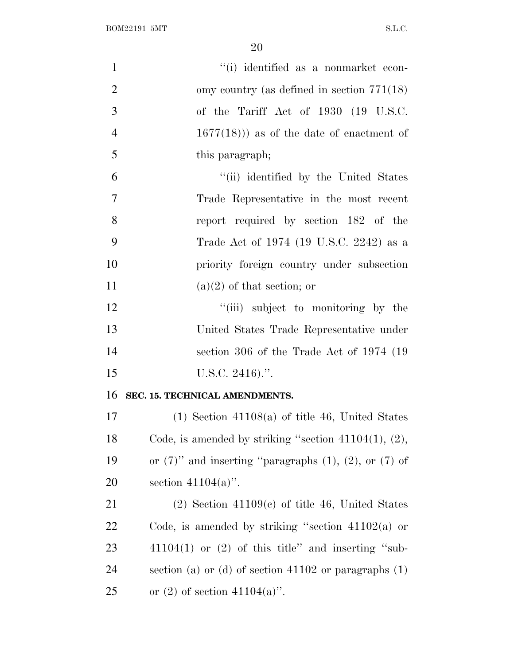| $\mathbf{1}$   | "(i) identified as a nonmarket econ-                             |
|----------------|------------------------------------------------------------------|
| $\overline{2}$ | omy country (as defined in section $771(18)$ )                   |
| 3              | of the Tariff Act of 1930 (19 U.S.C.                             |
| $\overline{4}$ | $1677(18)$ ) as of the date of enactment of                      |
| 5              | this paragraph;                                                  |
| 6              | "(ii) identified by the United States                            |
| $\overline{7}$ | Trade Representative in the most recent                          |
| 8              | report required by section 182 of the                            |
| 9              | Trade Act of 1974 (19 U.S.C. 2242) as a                          |
| 10             | priority foreign country under subsection                        |
| 11             | $(a)(2)$ of that section; or                                     |
| 12             | "(iii) subject to monitoring by the                              |
| 13             | United States Trade Representative under                         |
| 14             | section 306 of the Trade Act of 1974 (19)                        |
| 15             | U.S.C. $2416$ .".                                                |
| 16             | SEC. 15. TECHNICAL AMENDMENTS.                                   |
| 17             | $(1)$ Section 41108(a) of title 46, United States                |
| 18             | Code, is amended by striking "section $41104(1)$ , $(2)$ ,       |
| 19             | or $(7)$ " and inserting "paragraphs $(1)$ , $(2)$ , or $(7)$ of |
| 20             | section $41104(a)$ .                                             |
| 21             | $(2)$ Section 41109 $(e)$ of title 46, United States             |
| 22             | Code, is amended by striking "section $41102(a)$ or              |
| 23             | $41104(1)$ or $(2)$ of this title" and inserting "sub-           |
| 24             | section (a) or (d) of section $41102$ or paragraphs $(1)$        |
| 25             | or $(2)$ of section $41104(a)$ .                                 |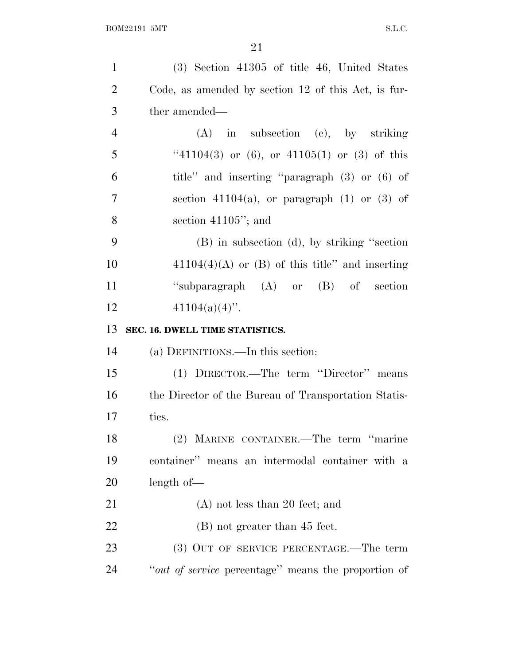| $\mathbf{1}$   | $(3)$ Section 41305 of title 46, United States       |
|----------------|------------------------------------------------------|
| $\overline{2}$ | Code, as amended by section 12 of this Act, is fur-  |
| 3              | ther amended—                                        |
| $\overline{4}$ | $(A)$ in subsection $(c)$ , by striking              |
| 5              | "41104(3) or (6), or 41105(1) or (3) of this         |
| 6              | title" and inserting "paragraph (3) or (6) of        |
| $\overline{7}$ | section $41104(a)$ , or paragraph $(1)$ or $(3)$ of  |
| 8              | section $41105$ "; and                               |
| 9              | (B) in subsection (d), by striking "section          |
| 10             | $41104(4)(A)$ or (B) of this title" and inserting    |
| 11             | "subparagraph $(A)$ or $(B)$ of section              |
| 12             | $41104(a)(4)$ ".                                     |
|                |                                                      |
| 13             | SEC. 16. DWELL TIME STATISTICS.                      |
| 14             | (a) DEFINITIONS.—In this section:                    |
| 15             | (1) DIRECTOR.—The term "Director" means              |
| 16             | the Director of the Bureau of Transportation Statis- |
| 17             | tics.                                                |
| 18             | (2) MARINE CONTAINER.—The term "marine               |
| 19             | container" means an intermodal container with a      |
| 20             | length of                                            |
| 21             | $(A)$ not less than 20 feet; and                     |
| 22             | (B) not greater than 45 feet.                        |
| 23             | (3) OUT OF SERVICE PERCENTAGE.—The term              |
| 24             | "out of service percentage" means the proportion of  |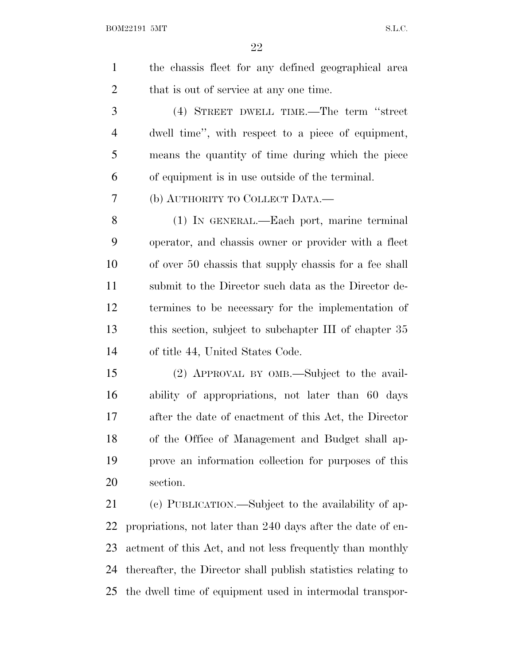| the chassis fleet for any defined geographical area |
|-----------------------------------------------------|
| that is out of service at any one time.             |

 (4) STREET DWELL TIME.—The term ''street dwell time'', with respect to a piece of equipment, means the quantity of time during which the piece of equipment is in use outside of the terminal.

(b) AUTHORITY TO COLLECT DATA.—

 (1) IN GENERAL.—Each port, marine terminal operator, and chassis owner or provider with a fleet of over 50 chassis that supply chassis for a fee shall submit to the Director such data as the Director de- termines to be necessary for the implementation of this section, subject to subchapter III of chapter 35 of title 44, United States Code.

 (2) APPROVAL BY OMB.—Subject to the avail- ability of appropriations, not later than 60 days after the date of enactment of this Act, the Director of the Office of Management and Budget shall ap- prove an information collection for purposes of this section.

 (c) PUBLICATION.—Subject to the availability of ap- propriations, not later than 240 days after the date of en- actment of this Act, and not less frequently than monthly thereafter, the Director shall publish statistics relating to the dwell time of equipment used in intermodal transpor-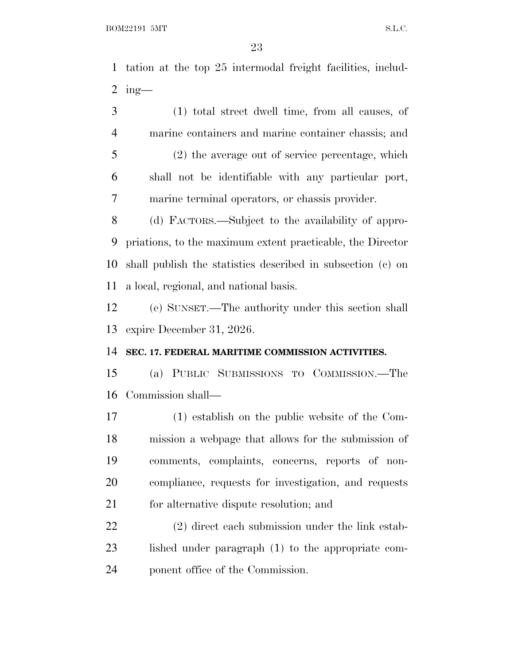tation at the top 25 intermodal freight facilities, includ-2 ing-

 (1) total street dwell time, from all causes, of marine containers and marine container chassis; and (2) the average out of service percentage, which shall not be identifiable with any particular port, marine terminal operators, or chassis provider.

 (d) FACTORS.—Subject to the availability of appro- priations, to the maximum extent practicable, the Director shall publish the statistics described in subsection (c) on a local, regional, and national basis.

 (e) SUNSET.—The authority under this section shall expire December 31, 2026.

#### **SEC. 17. FEDERAL MARITIME COMMISSION ACTIVITIES.**

 (a) PUBLIC SUBMISSIONS TO COMMISSION.—The Commission shall—

 (1) establish on the public website of the Com- mission a webpage that allows for the submission of comments, complaints, concerns, reports of non- compliance, requests for investigation, and requests 21 for alternative dispute resolution; and

 (2) direct each submission under the link estab- lished under paragraph (1) to the appropriate com-ponent office of the Commission.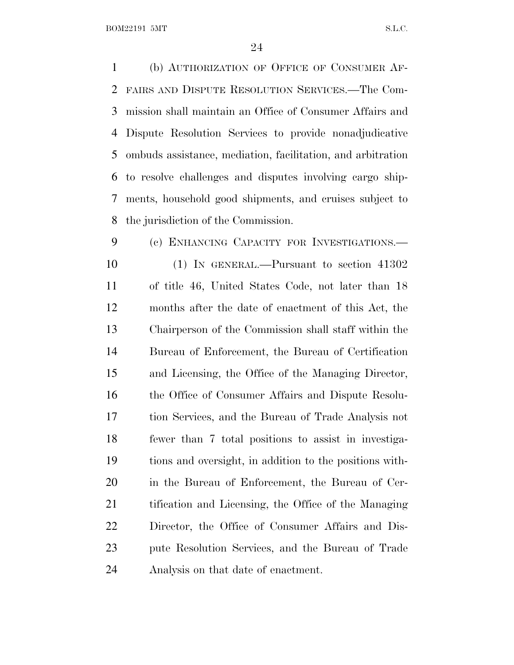(b) AUTHORIZATION OF OFFICE OF CONSUMER AF- FAIRS AND DISPUTE RESOLUTION SERVICES.—The Com- mission shall maintain an Office of Consumer Affairs and Dispute Resolution Services to provide nonadjudicative ombuds assistance, mediation, facilitation, and arbitration to resolve challenges and disputes involving cargo ship- ments, household good shipments, and cruises subject to the jurisdiction of the Commission.

 (c) ENHANCING CAPACITY FOR INVESTIGATIONS.— (1) IN GENERAL.—Pursuant to section 41302 of title 46, United States Code, not later than 18 months after the date of enactment of this Act, the Chairperson of the Commission shall staff within the Bureau of Enforcement, the Bureau of Certification and Licensing, the Office of the Managing Director, the Office of Consumer Affairs and Dispute Resolu- tion Services, and the Bureau of Trade Analysis not fewer than 7 total positions to assist in investiga- tions and oversight, in addition to the positions with- in the Bureau of Enforcement, the Bureau of Cer- tification and Licensing, the Office of the Managing Director, the Office of Consumer Affairs and Dis- pute Resolution Services, and the Bureau of Trade Analysis on that date of enactment.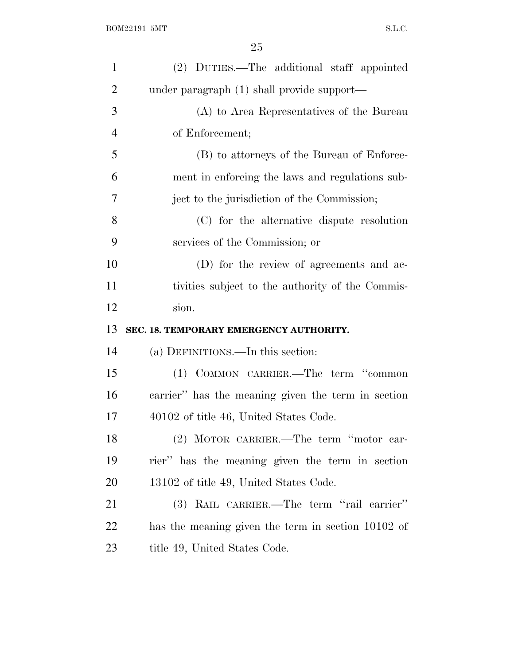| $\mathbf{1}$   | (2) DUTIES.—The additional staff appointed         |
|----------------|----------------------------------------------------|
| $\overline{2}$ | under paragraph (1) shall provide support—         |
| 3              | (A) to Area Representatives of the Bureau          |
| $\overline{4}$ | of Enforcement;                                    |
| 5              | (B) to attorneys of the Bureau of Enforce-         |
| 6              | ment in enforcing the laws and regulations sub-    |
| 7              | ject to the jurisdiction of the Commission;        |
| 8              | (C) for the alternative dispute resolution         |
| 9              | services of the Commission; or                     |
| 10             | (D) for the review of agreements and ac-           |
| 11             | tivities subject to the authority of the Commis-   |
|                |                                                    |
| 12             | sion.                                              |
| 13             | SEC. 18. TEMPORARY EMERGENCY AUTHORITY.            |
| 14             | (a) DEFINITIONS.—In this section:                  |
| 15             | (1) COMMON CARRIER.—The term "common               |
| 16             | carrier" has the meaning given the term in section |
| 17             | 40102 of title 46, United States Code.             |
| 18             | (2) MOTOR CARRIER.—The term "motor car-            |
| 19             | rier" has the meaning given the term in section    |
| 20             | 13102 of title 49, United States Code.             |
| 21             | (3) RAIL CARRIER.—The term "rail carrier"          |
| 22             | has the meaning given the term in section 10102 of |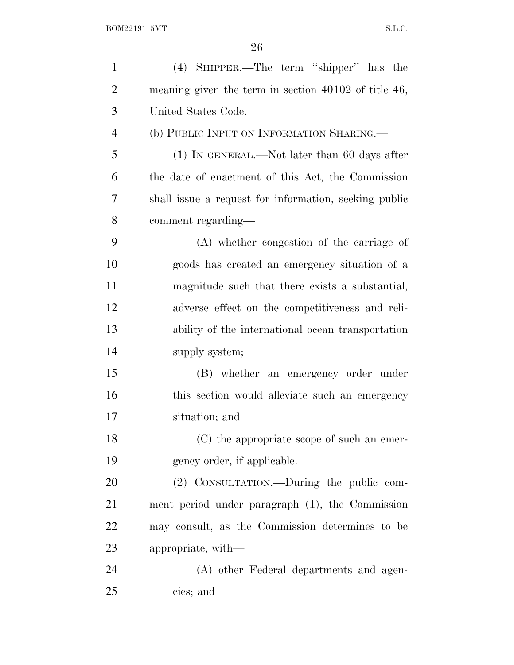| $\mathbf{1}$   | (4) SHIPPER.—The term "shipper" has the                |
|----------------|--------------------------------------------------------|
| $\overline{2}$ | meaning given the term in section $40102$ of title 46, |
| 3              | United States Code.                                    |
| $\overline{4}$ | (b) PUBLIC INPUT ON INFORMATION SHARING.               |
| 5              | $(1)$ In GENERAL.—Not later than 60 days after         |
| 6              | the date of enactment of this Act, the Commission      |
| 7              | shall issue a request for information, seeking public  |
| 8              | comment regarding—                                     |
| 9              | (A) whether congestion of the carriage of              |
| 10             | goods has created an emergency situation of a          |
| 11             | magnitude such that there exists a substantial,        |
| 12             | adverse effect on the competitiveness and reli-        |
| 13             | ability of the international ocean transportation      |
| 14             | supply system;                                         |
| 15             | (B) whether an emergency order under                   |
| 16             | this section would alleviate such an emergency         |
| 17             | situation; and                                         |
| 18             | (C) the appropriate scope of such an emer-             |
| 19             | gency order, if applicable.                            |
| 20             | (2) CONSULTATION.—During the public com-               |
| 21             | ment period under paragraph (1), the Commission        |
| 22             | may consult, as the Commission determines to be        |
| 23             | appropriate, with—                                     |
| 24             | (A) other Federal departments and agen-                |
| 25             | cies; and                                              |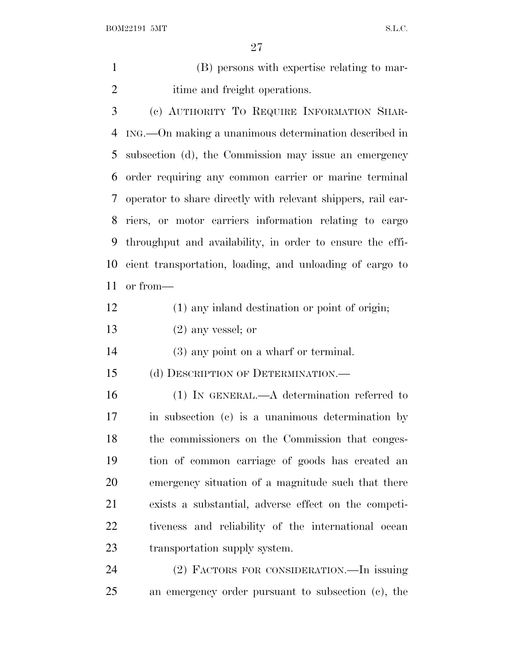(B) persons with expertise relating to mar-itime and freight operations.

 (c) AUTHORITY T<sup>O</sup> REQUIRE INFORMATION SHAR- ING.—On making a unanimous determination described in subsection (d), the Commission may issue an emergency order requiring any common carrier or marine terminal operator to share directly with relevant shippers, rail car- riers, or motor carriers information relating to cargo throughput and availability, in order to ensure the effi- cient transportation, loading, and unloading of cargo to or from—

- (1) any inland destination or point of origin;
- (2) any vessel; or

(3) any point on a wharf or terminal.

(d) DESCRIPTION OF DETERMINATION.—

 (1) IN GENERAL.—A determination referred to in subsection (c) is a unanimous determination by the commissioners on the Commission that conges- tion of common carriage of goods has created an emergency situation of a magnitude such that there exists a substantial, adverse effect on the competi- tiveness and reliability of the international ocean transportation supply system.

 (2) FACTORS FOR CONSIDERATION.—In issuing an emergency order pursuant to subsection (c), the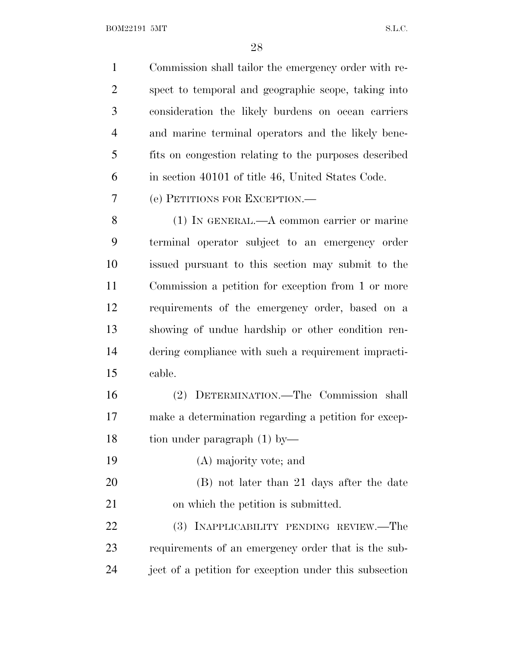BOM22191 5MT  $S.L.C.$ 

| $\mathbf{1}$   | Commission shall tailor the emergency order with re-   |
|----------------|--------------------------------------------------------|
| $\overline{2}$ | spect to temporal and geographic scope, taking into    |
| 3              | consideration the likely burdens on ocean carriers     |
| $\overline{4}$ | and marine terminal operators and the likely bene-     |
| 5              | fits on congestion relating to the purposes described  |
| 6              | in section 40101 of title 46, United States Code.      |
| 7              | (e) PETITIONS FOR EXCEPTION.—                          |
| 8              | $(1)$ In GENERAL.—A common carrier or marine           |
| 9              | terminal operator subject to an emergency order        |
| 10             | issued pursuant to this section may submit to the      |
| 11             | Commission a petition for exception from 1 or more     |
| 12             | requirements of the emergency order, based on a        |
| 13             | showing of undue hardship or other condition ren-      |
| 14             | dering compliance with such a requirement impracti-    |
| 15             | cable.                                                 |
| 16             | (2) DETERMINATION.—The Commission shall                |
| 17             | make a determination regarding a petition for excep-   |
| 18             | tion under paragraph $(1)$ by-                         |
| 19             | (A) majority vote; and                                 |
| 20             | (B) not later than 21 days after the date              |
| 21             | on which the petition is submitted.                    |
| 22             | INAPPLICABILITY PENDING REVIEW.—The<br>(3)             |
| 23             | requirements of an emergency order that is the sub-    |
| 24             | ject of a petition for exception under this subsection |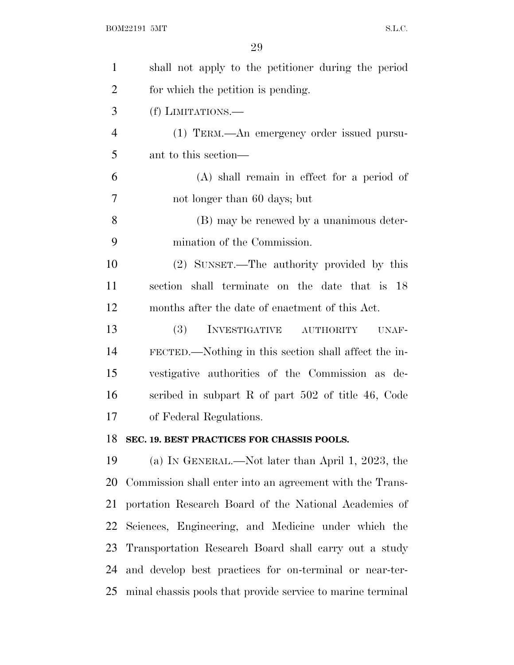| $\mathbf{1}$   | shall not apply to the petitioner during the period         |
|----------------|-------------------------------------------------------------|
| $\overline{2}$ | for which the petition is pending.                          |
| 3              | (f) LIMITATIONS.—                                           |
| $\overline{4}$ | (1) TERM.—An emergency order issued pursu-                  |
| 5              | ant to this section—                                        |
| 6              | (A) shall remain in effect for a period of                  |
| 7              | not longer than 60 days; but                                |
| 8              | (B) may be renewed by a unanimous deter-                    |
| 9              | mination of the Commission.                                 |
| 10             | (2) SUNSET.—The authority provided by this                  |
| 11             | section shall terminate on the date that is 18              |
| 12             | months after the date of enactment of this Act.             |
| 13             | <b>(3)</b><br>INVESTIGATIVE AUTHORITY<br>UNAF-              |
| 14             | FECTED.—Nothing in this section shall affect the in-        |
| 15             | vestigative authorities of the Commission as de-            |
| 16             | scribed in subpart R of part $502$ of title 46, Code        |
| 17             | of Federal Regulations.                                     |
| 18             | SEC. 19. BEST PRACTICES FOR CHASSIS POOLS.                  |
| 19             | (a) IN GENERAL.—Not later than April 1, 2023, the           |
| 20             | Commission shall enter into an agreement with the Trans-    |
| 21             | portation Research Board of the National Academies of       |
| 22             | Sciences, Engineering, and Medicine under which the         |
| 23             | Transportation Research Board shall carry out a study       |
| 24             | and develop best practices for on-terminal or near-ter-     |
| 25             | minal chassis pools that provide service to marine terminal |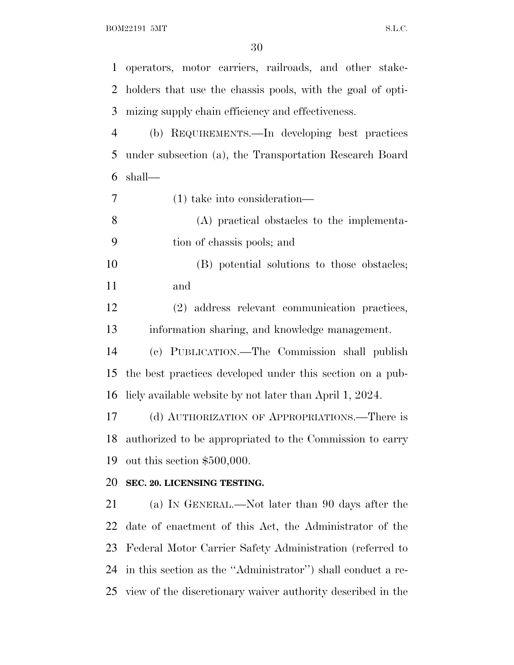operators, motor carriers, railroads, and other stake- holders that use the chassis pools, with the goal of opti-mizing supply chain efficiency and effectiveness.

 (b) REQUIREMENTS.—In developing best practices under subsection (a), the Transportation Research Board shall—

- (1) take into consideration—
- (A) practical obstacles to the implementa-tion of chassis pools; and
- (B) potential solutions to those obstacles; and

 (2) address relevant communication practices, information sharing, and knowledge management.

 (c) PUBLICATION.—The Commission shall publish the best practices developed under this section on a pub-licly available website by not later than April 1, 2024.

 (d) AUTHORIZATION OF APPROPRIATIONS.—There is authorized to be appropriated to the Commission to carry out this section \$500,000.

## **SEC. 20. LICENSING TESTING.**

 (a) I<sup>N</sup> GENERAL.—Not later than 90 days after the date of enactment of this Act, the Administrator of the Federal Motor Carrier Safety Administration (referred to in this section as the ''Administrator'') shall conduct a re-view of the discretionary waiver authority described in the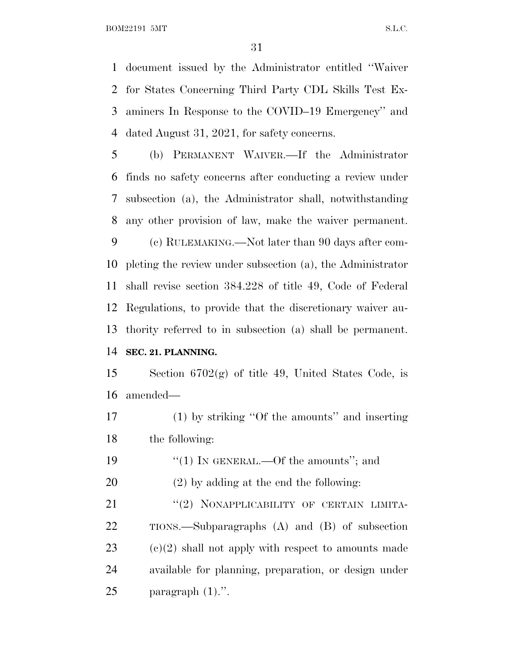document issued by the Administrator entitled ''Waiver for States Concerning Third Party CDL Skills Test Ex- aminers In Response to the COVID–19 Emergency'' and dated August 31, 2021, for safety concerns.

 (b) PERMANENT WAIVER.—If the Administrator finds no safety concerns after conducting a review under subsection (a), the Administrator shall, notwithstanding any other provision of law, make the waiver permanent.

 (c) RULEMAKING.—Not later than 90 days after com- pleting the review under subsection (a), the Administrator shall revise section 384.228 of title 49, Code of Federal Regulations, to provide that the discretionary waiver au- thority referred to in subsection (a) shall be permanent. **SEC. 21. PLANNING.**

 Section 6702(g) of title 49, United States Code, is amended—

 (1) by striking ''Of the amounts'' and inserting the following:

19 "(1) IN GENERAL.—Of the amounts"; and

(2) by adding at the end the following:

21 "(2) NONAPPLICABILITY OF CERTAIN LIMITA- TIONS.—Subparagraphs (A) and (B) of subsection (c)(2) shall not apply with respect to amounts made available for planning, preparation, or design under paragraph (1).''.